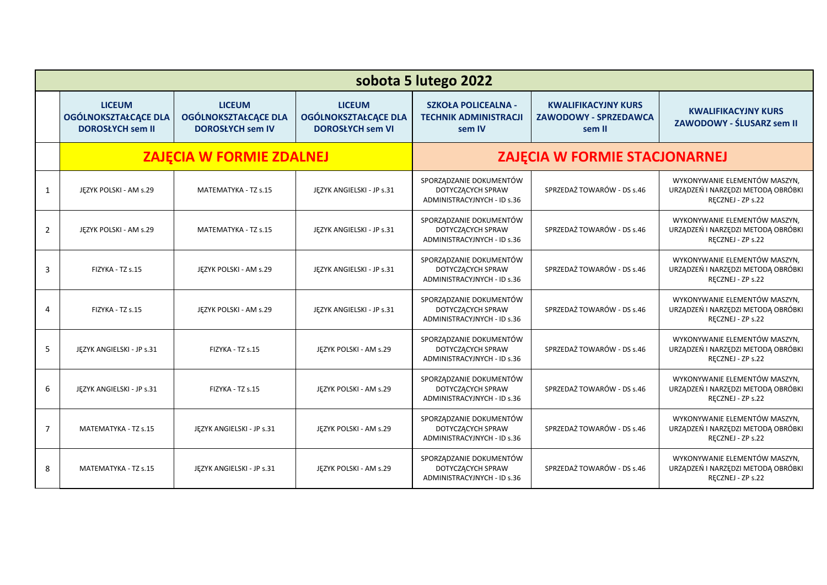|                | sobota 5 lutego 2022                                                    |                                                                         |                                                                         |                                                                             |                                                                      |                                                                                          |
|----------------|-------------------------------------------------------------------------|-------------------------------------------------------------------------|-------------------------------------------------------------------------|-----------------------------------------------------------------------------|----------------------------------------------------------------------|------------------------------------------------------------------------------------------|
|                | <b>LICEUM</b><br><b>OGÓLNOKSZTAŁCĄCE DLA</b><br><b>DOROSŁYCH sem II</b> | <b>LICEUM</b><br><b>OGÓLNOKSZTAŁCĄCE DLA</b><br><b>DOROSŁYCH sem IV</b> | <b>LICEUM</b><br><b>OGÓLNOKSZTAŁCĄCE DLA</b><br><b>DOROSŁYCH sem VI</b> | <b>SZKOŁA POLICEALNA -</b><br><b>TECHNIK ADMINISTRACJI</b><br>sem IV        | <b>KWALIFIKACYJNY KURS</b><br><b>ZAWODOWY - SPRZEDAWCA</b><br>sem II | <b>KWALIFIKACYJNY KURS</b><br>ZAWODOWY - ŚLUSARZ sem II                                  |
|                | <b>ZAJĘCIA W FORMIE ZDALNEJ</b>                                         |                                                                         |                                                                         | ZAJĘCIA W FORMIE STACJONARNEJ                                               |                                                                      |                                                                                          |
| 1              | JĘZYK POLSKI - AM s.29                                                  | MATEMATYKA - TZ s.15                                                    | JĘZYK ANGIELSKI - JP s.31                                               | SPORZĄDZANIE DOKUMENTÓW<br>DOTYCZĄCYCH SPRAW<br>ADMINISTRACYJNYCH - ID s.36 | SPRZEDAŻ TOWARÓW - DS s.46                                           | WYKONYWANIE ELEMENTÓW MASZYN.<br>URZĄDZEŃ I NARZĘDZI METODĄ OBRÓBKI<br>RECZNEJ - ZP s.22 |
| $\overline{2}$ | JEZYK POLSKI - AM s.29                                                  | MATEMATYKA - TZ s.15                                                    | JEZYK ANGIELSKI - JP s.31                                               | SPORZĄDZANIE DOKUMENTÓW<br>DOTYCZĄCYCH SPRAW<br>ADMINISTRACYJNYCH - ID s.36 | SPRZEDAŻ TOWARÓW - DS s.46                                           | WYKONYWANIE ELEMENTÓW MASZYN,<br>URZĄDZEŃ I NARZĘDZI METODĄ OBRÓBKI<br>RECZNEJ - ZP s.22 |
| 3              | FIZYKA - TZ s.15                                                        | JĘZYK POLSKI - AM s.29                                                  | JĘZYK ANGIELSKI - JP s.31                                               | SPORZĄDZANIE DOKUMENTÓW<br>DOTYCZĄCYCH SPRAW<br>ADMINISTRACYJNYCH - ID s.36 | SPRZEDAŻ TOWARÓW - DS s.46                                           | WYKONYWANIE ELEMENTÓW MASZYN.<br>URZĄDZEŃ I NARZĘDZI METODĄ OBRÓBKI<br>RECZNEJ - ZP s.22 |
| 4              | FIZYKA - TZ s.15                                                        | JĘZYK POLSKI - AM s.29                                                  | JĘZYK ANGIELSKI - JP s.31                                               | SPORZĄDZANIE DOKUMENTÓW<br>DOTYCZĄCYCH SPRAW<br>ADMINISTRACYJNYCH - ID s.36 | SPRZEDAŻ TOWARÓW - DS s.46                                           | WYKONYWANIE ELEMENTÓW MASZYN.<br>URZĄDZEŃ I NARZĘDZI METODĄ OBRÓBKI<br>RECZNEJ - ZP s.22 |
| 5              | JEZYK ANGIELSKI - JP s.31                                               | FIZYKA - TZ s.15                                                        | JEZYK POLSKI - AM s.29                                                  | SPORZĄDZANIE DOKUMENTÓW<br>DOTYCZĄCYCH SPRAW<br>ADMINISTRACYJNYCH - ID s.36 | SPRZEDAŻ TOWARÓW - DS s.46                                           | WYKONYWANIE ELEMENTÓW MASZYN.<br>URZĄDZEŃ I NARZĘDZI METODĄ OBRÓBKI<br>RECZNEJ - ZP s.22 |
| 6              | JĘZYK ANGIELSKI - JP s.31                                               | FIZYKA - TZ s.15                                                        | JEZYK POLSKI - AM s.29                                                  | SPORZĄDZANIE DOKUMENTÓW<br>DOTYCZĄCYCH SPRAW<br>ADMINISTRACYJNYCH - ID s.36 | SPRZEDAŻ TOWARÓW - DS s.46                                           | WYKONYWANIE ELEMENTÓW MASZYN,<br>URZĄDZEŃ I NARZĘDZI METODĄ OBRÓBKI<br>RECZNEJ - ZP s.22 |
| $\overline{7}$ | MATEMATYKA - TZ s.15                                                    | JĘZYK ANGIELSKI - JP s.31                                               | JĘZYK POLSKI - AM s.29                                                  | SPORZĄDZANIE DOKUMENTÓW<br>DOTYCZĄCYCH SPRAW<br>ADMINISTRACYJNYCH - ID s.36 | SPRZEDAŻ TOWARÓW - DS s.46                                           | WYKONYWANIE ELEMENTÓW MASZYN.<br>URZĄDZEŃ I NARZĘDZI METODĄ OBRÓBKI<br>RECZNEJ - ZP s.22 |
| 8              | MATEMATYKA - TZ s.15                                                    | JĘZYK ANGIELSKI - JP s.31                                               | JĘZYK POLSKI - AM s.29                                                  | SPORZĄDZANIE DOKUMENTÓW<br>DOTYCZĄCYCH SPRAW<br>ADMINISTRACYJNYCH - ID s.36 | SPRZEDAŻ TOWARÓW - DS s.46                                           | WYKONYWANIE ELEMENTÓW MASZYN.<br>URZĄDZEŃ I NARZĘDZI METODĄ OBRÓBKI<br>RECZNEJ - ZP s.22 |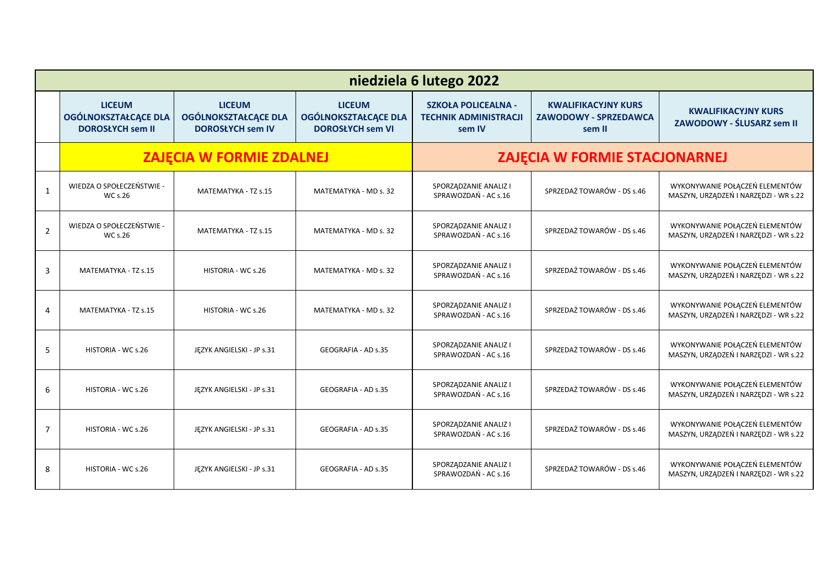|                | niedziela 6 lutego 2022                                          |                                                                         |                                                                         |                                                                      |                                                                      |                                                                         |  |
|----------------|------------------------------------------------------------------|-------------------------------------------------------------------------|-------------------------------------------------------------------------|----------------------------------------------------------------------|----------------------------------------------------------------------|-------------------------------------------------------------------------|--|
|                | <b>LICEUM</b><br>OGÓLNOKSZTAŁCĄCE DLA<br><b>DOROSŁYCH sem II</b> | <b>LICEUM</b><br><b>OGÓLNOKSZTAŁCĄCE DLA</b><br><b>DOROSŁYCH sem IV</b> | <b>LICEUM</b><br><b>OGÓLNOKSZTAŁCĄCE DLA</b><br><b>DOROSŁYCH sem VI</b> | <b>SZKOŁA POLICEALNA -</b><br><b>TECHNIK ADMINISTRACJI</b><br>sem IV | <b>KWALIFIKACYJNY KURS</b><br><b>ZAWODOWY - SPRZEDAWCA</b><br>sem II | <b>KWALIFIKACYJNY KURS</b><br>ZAWODOWY - ŚLUSARZ sem II                 |  |
|                | <b>ZAJĘCIA W FORMIE ZDALNEJ</b>                                  |                                                                         |                                                                         | ZAJĘCIA W FORMIE STACJONARNEJ                                        |                                                                      |                                                                         |  |
| 1              | WIEDZA O SPOŁECZEŃSTWIE -<br><b>WC s.26</b>                      | MATEMATYKA - TZ s.15                                                    | MATEMATYKA - MD s. 32                                                   | SPORZĄDZANIE ANALIZ I<br>SPRAWOZDAŃ - AC s.16                        | SPRZEDAŻ TOWARÓW - DS s.46                                           | WYKONYWANIE POŁĄCZEŃ ELEMENTÓW<br>MASZYN, URZĄDZEŃ I NARZĘDZI - WR s.22 |  |
| $\overline{2}$ | WIEDZA O SPOŁECZEŃSTWIE -<br>WC s.26                             | MATEMATYKA - TZ s.15                                                    | MATEMATYKA - MD s. 32                                                   | SPORZĄDZANIE ANALIZ I<br>SPRAWOZDAŃ - AC s.16                        | SPRZEDAŻ TOWARÓW - DS s.46                                           | WYKONYWANIE POŁĄCZEŃ ELEMENTÓW<br>MASZYN, URZĄDZEŃ I NARZĘDZI - WR s.22 |  |
| 3              | MATEMATYKA - TZ s.15                                             | HISTORIA - WC s.26                                                      | MATEMATYKA - MD s. 32                                                   | SPORZĄDZANIE ANALIZ I<br>SPRAWOZDAŃ - AC s.16                        | SPRZEDAŻ TOWARÓW - DS s.46                                           | WYKONYWANIE POŁĄCZEŃ ELEMENTÓW<br>MASZYN, URZĄDZEŃ I NARZĘDZI - WR s.22 |  |
| 4              | MATEMATYKA - TZ s.15                                             | HISTORIA - WC s.26                                                      | MATEMATYKA - MD s. 32                                                   | SPORZĄDZANIE ANALIZ I<br>SPRAWOZDAŃ - AC s.16                        | SPRZEDAŻ TOWARÓW - DS s.46                                           | WYKONYWANIE POŁĄCZEŃ ELEMENTÓW<br>MASZYN, URZĄDZEŃ I NARZĘDZI - WR s.22 |  |
| 5              | HISTORIA - WC s.26                                               | JĘZYK ANGIELSKI - JP s.31                                               | GEOGRAFIA - AD s.35                                                     | SPORZĄDZANIE ANALIZ I<br>SPRAWOZDAŃ - AC s.16                        | SPRZEDAŻ TOWARÓW - DS s.46                                           | WYKONYWANIE POŁĄCZEŃ ELEMENTÓW<br>MASZYN, URZĄDZEŃ I NARZĘDZI - WR s.22 |  |
| 6              | HISTORIA - WC s.26                                               | JĘZYK ANGIELSKI - JP s.31                                               | GEOGRAFIA - AD s.35                                                     | SPORZĄDZANIE ANALIZ I<br>SPRAWOZDAŃ - AC s.16                        | SPRZEDAŻ TOWARÓW - DS s.46                                           | WYKONYWANIE POŁĄCZEŃ ELEMENTÓW<br>MASZYN, URZĄDZEŃ I NARZĘDZI - WR s.22 |  |
| $\overline{7}$ | HISTORIA - WC s.26                                               | JĘZYK ANGIELSKI - JP s.31                                               | GEOGRAFIA - AD s.35                                                     | SPORZĄDZANIE ANALIZ I<br>SPRAWOZDAŃ - AC s.16                        | SPRZEDAŻ TOWARÓW - DS s.46                                           | WYKONYWANIE POŁĄCZEŃ ELEMENTÓW<br>MASZYN, URZĄDZEŃ I NARZĘDZI - WR s.22 |  |
| 8              | HISTORIA - WC s.26                                               | JĘZYK ANGIELSKI - JP s.31                                               | GEOGRAFIA - AD s.35                                                     | SPORZĄDZANIE ANALIZ I<br>SPRAWOZDAŃ - AC s.16                        | SPRZEDAŻ TOWARÓW - DS s.46                                           | WYKONYWANIE POŁĄCZEŃ ELEMENTÓW<br>MASZYN, URZĄDZEŃ I NARZĘDZI - WR s.22 |  |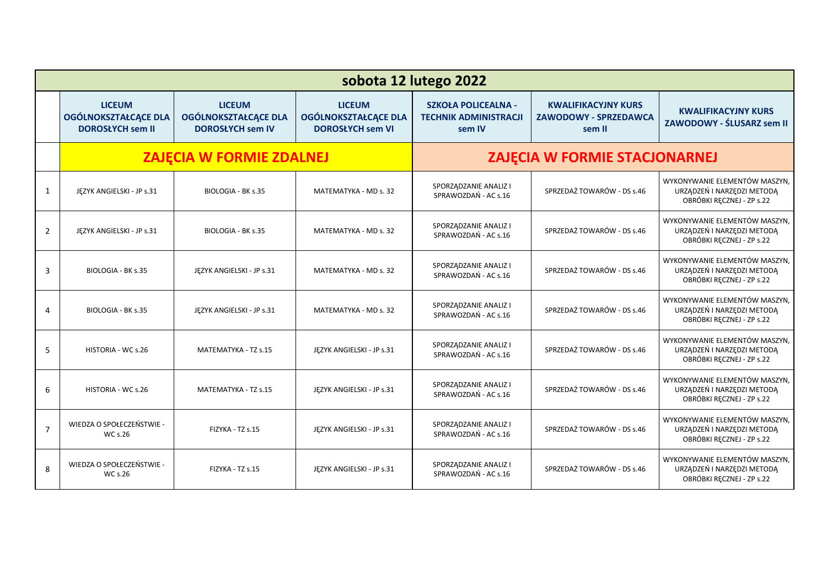|                | sobota 12 lutego 2022                                            |                                                                  |                                                                         |                                                                      |                                                                      |                                                                                          |
|----------------|------------------------------------------------------------------|------------------------------------------------------------------|-------------------------------------------------------------------------|----------------------------------------------------------------------|----------------------------------------------------------------------|------------------------------------------------------------------------------------------|
|                | <b>LICEUM</b><br>OGÓLNOKSZTAŁCĄCE DLA<br><b>DOROSŁYCH sem II</b> | <b>LICEUM</b><br>OGÓLNOKSZTAŁCĄCE DLA<br><b>DOROSŁYCH sem IV</b> | <b>LICEUM</b><br><b>OGÓLNOKSZTAŁCĄCE DLA</b><br><b>DOROSŁYCH sem VI</b> | <b>SZKOŁA POLICEALNA -</b><br><b>TECHNIK ADMINISTRACJI</b><br>sem IV | <b>KWALIFIKACYJNY KURS</b><br><b>ZAWODOWY - SPRZEDAWCA</b><br>sem II | <b>KWALIFIKACYJNY KURS</b><br>ZAWODOWY - ŚLUSARZ sem II                                  |
|                | <b>ZAJĘCIA W FORMIE ZDALNEJ</b>                                  |                                                                  |                                                                         | ZAJĘCIA W FORMIE STACJONARNEJ                                        |                                                                      |                                                                                          |
| 1              | JĘZYK ANGIELSKI - JP s.31                                        | <b>BIOLOGIA - BK s.35</b>                                        | MATEMATYKA - MD s. 32                                                   | SPORZĄDZANIE ANALIZ I<br>SPRAWOZDAŃ - AC s.16                        | SPRZEDAŻ TOWARÓW - DS s.46                                           | WYKONYWANIE ELEMENTÓW MASZYN,<br>URZĄDZEŃ I NARZĘDZI METODĄ<br>OBRÓBKI RĘCZNEJ - ZP s.22 |
| $\overline{2}$ | JEZYK ANGIELSKI - JP s.31                                        | <b>BIOLOGIA - BK s.35</b>                                        | MATEMATYKA - MD s. 32                                                   | SPORZĄDZANIE ANALIZ I<br>SPRAWOZDAŃ - AC s.16                        | SPRZEDAŻ TOWARÓW - DS s.46                                           | WYKONYWANIE ELEMENTÓW MASZYN,<br>URZĄDZEŃ I NARZĘDZI METODĄ<br>OBRÓBKI RECZNEJ - ZP s.22 |
| 3              | BIOLOGIA - BK s.35                                               | JĘZYK ANGIELSKI - JP s.31                                        | MATEMATYKA - MD s. 32                                                   | SPORZĄDZANIE ANALIZ I<br>SPRAWOZDAŃ - AC s.16                        | SPRZEDAŻ TOWARÓW - DS s.46                                           | WYKONYWANIE ELEMENTÓW MASZYN,<br>URZĄDZEŃ I NARZĘDZI METODĄ<br>OBRÓBKI RECZNEJ - ZP s.22 |
| 4              | BIOLOGIA - BK s.35                                               | JEZYK ANGIELSKI - JP s.31                                        | MATEMATYKA - MD s. 32                                                   | SPORZĄDZANIE ANALIZ I<br>SPRAWOZDAŃ - AC s.16                        | SPRZEDAŻ TOWARÓW - DS s.46                                           | WYKONYWANIE ELEMENTÓW MASZYN,<br>URZĄDZEŃ I NARZĘDZI METODĄ<br>OBRÓBKI RECZNEJ - ZP s.22 |
| 5              | HISTORIA - WC s.26                                               | MATEMATYKA - TZ s.15                                             | JEZYK ANGIELSKI - JP s.31                                               | SPORZĄDZANIE ANALIZ I<br>SPRAWOZDAŃ - AC s.16                        | SPRZEDAŻ TOWARÓW - DS s.46                                           | WYKONYWANIE ELEMENTÓW MASZYN,<br>URZĄDZEŃ I NARZĘDZI METODĄ<br>OBRÓBKI RECZNEJ - ZP s.22 |
| 6              | HISTORIA - WC s.26                                               | MATEMATYKA - TZ s.15                                             | JĘZYK ANGIELSKI - JP s.31                                               | SPORZĄDZANIE ANALIZ I<br>SPRAWOZDAŃ - AC s.16                        | SPRZEDAŻ TOWARÓW - DS s.46                                           | WYKONYWANIE ELEMENTÓW MASZYN,<br>URZĄDZEŃ I NARZĘDZI METODĄ<br>OBRÓBKI RECZNEJ - ZP s.22 |
| $\overline{7}$ | WIEDZA O SPOŁECZEŃSTWIE -<br><b>WC s.26</b>                      | FIZYKA - TZ s.15                                                 | JĘZYK ANGIELSKI - JP s.31                                               | SPORZĄDZANIE ANALIZ I<br>SPRAWOZDAŃ - AC s.16                        | SPRZEDAŻ TOWARÓW - DS s.46                                           | WYKONYWANIE ELEMENTÓW MASZYN,<br>URZĄDZEŃ I NARZĘDZI METODĄ<br>OBRÓBKI RĘCZNEJ - ZP s.22 |
| 8              | WIEDZA O SPOŁECZEŃSTWIE -<br>WC s.26                             | FIZYKA - TZ s.15                                                 | JĘZYK ANGIELSKI - JP s.31                                               | SPORZĄDZANIE ANALIZ I<br>SPRAWOZDAŃ - AC s.16                        | SPRZEDAŻ TOWARÓW - DS s.46                                           | WYKONYWANIE ELEMENTÓW MASZYN,<br>URZĄDZEŃ I NARZĘDZI METODĄ<br>OBRÓBKI RĘCZNEJ - ZP s.22 |